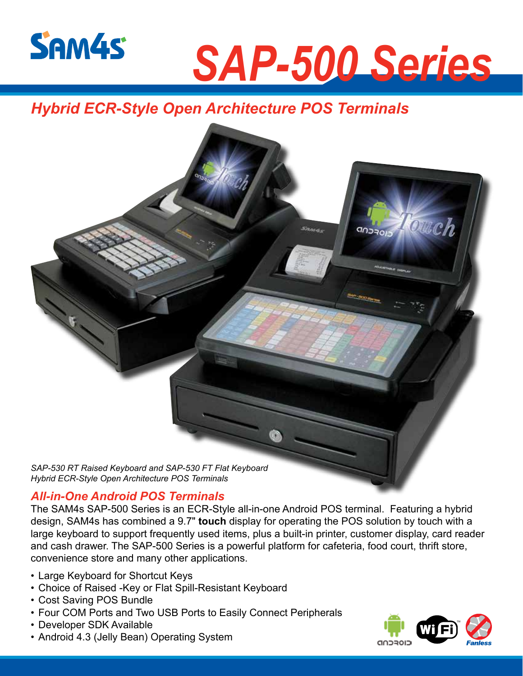

# *SAP-500 Series*

## *Hybrid ECR-Style Open Architecture POS Terminals*



### *All-in-One Android POS Terminals*

The SAM4s SAP-500 Series is an ECR-Style all-in-one Android POS terminal. Featuring a hybrid design, SAM4s has combined a 9.7" **touch** display for operating the POS solution by touch with a large keyboard to support frequently used items, plus a built-in printer, customer display, card reader and cash drawer. The SAP-500 Series is a powerful platform for cafeteria, food court, thrift store, convenience store and many other applications.

- Large Keyboard for Shortcut Keys
- Choice of Raised -Key or Flat Spill-Resistant Keyboard
- Cost Saving POS Bundle
- Four COM Ports and Two USB Ports to Easily Connect Peripherals
- Developer SDK Available
- Android 4.3 (Jelly Bean) Operating System